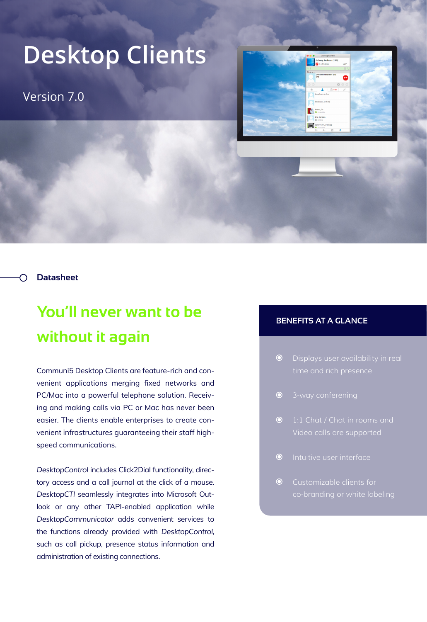## **Desktop Clients**

Version 7.0



**Datasheet**

## **You'll never want to be without it again**

Communi5 Desktop Clients are feature-rich and convenient applications merging fixed networks and PC/Mac into a powerful telephone solution. Receiving and making calls via PC or Mac has never been easier. The clients enable enterprises to create convenient infrastructures guaranteeing their staff highspeed communications.

*DesktopControl* includes Click2Dial functionality, directory access and a call journal at the click of a mouse. *DesktopCTI* seamlessly integrates into Microsoft Outlook or any other TAPI-enabled application while *DesktopCommunicator* adds convenient services to the functions already provided with *DesktopControl*, such as call pickup, presence status information and administration of existing connections.

## **BENEFITS AT A GLANCE**

- $\odot$
- $\odot$
- $\odot$ Video calls are supported
- **O** Intuitive user interface
- Customizable clients for